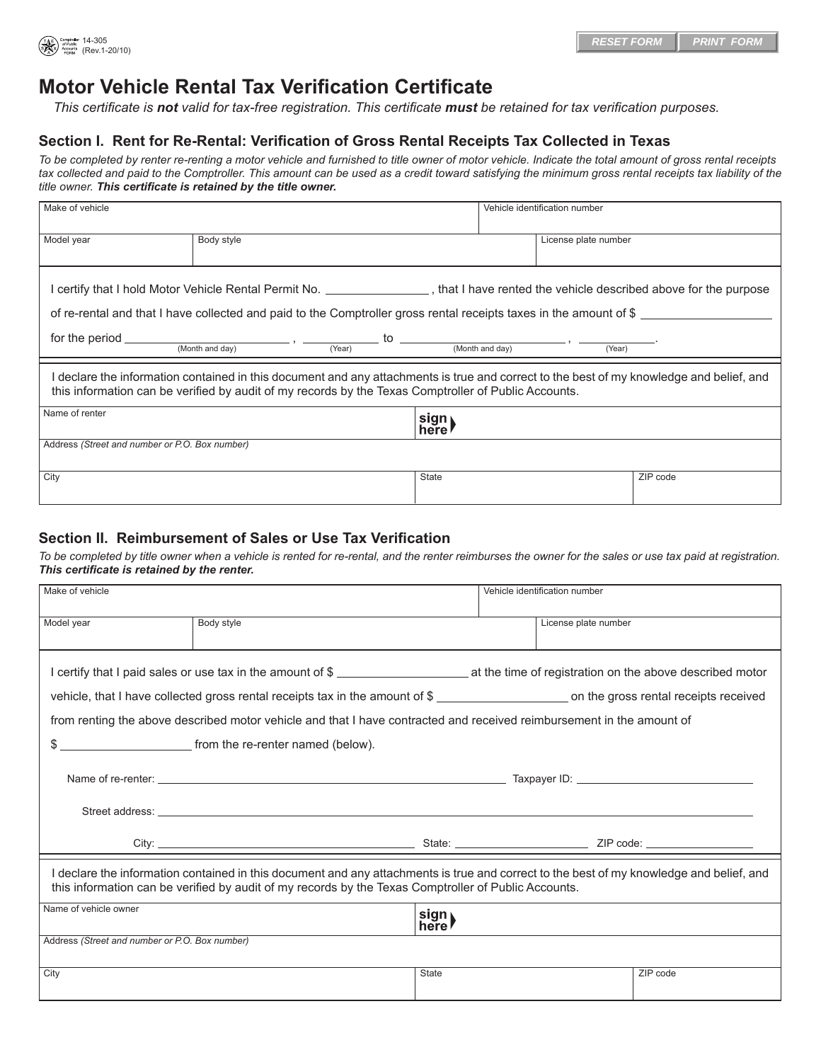

## **Motor Vehicle Rental Tax Verification Certificate**

*This certificate is not valid for tax-free registration. This certificate must be retained for tax verification purposes.*

## **Section I. Rent for Re-Rental: Verification of Gross Rental Receipts Tax Collected in Texas**

*To be completed by renter re-renting a motor vehicle and furnished to title owner of motor vehicle. Indicate the total amount of gross rental receipts*  tax collected and paid to the Comptroller. This amount can be used as a credit toward satisfying the minimum gross rental receipts tax liability of the *title owner. This certificate is retained by the title owner.*

| Make of vehicle                                                                                                                                                                                                                                              |            |  |               | Vehicle identification number |                      |          |  |
|--------------------------------------------------------------------------------------------------------------------------------------------------------------------------------------------------------------------------------------------------------------|------------|--|---------------|-------------------------------|----------------------|----------|--|
| Model year                                                                                                                                                                                                                                                   | Body style |  |               |                               | License plate number |          |  |
| I certify that I hold Motor Vehicle Rental Permit No. ________________, that I have rented the vehicle described above for the purpose<br>of re-rental and that I have collected and paid to the Comptroller gross rental receipts taxes in the amount of \$ |            |  |               |                               |                      |          |  |
| for the period $\frac{1}{(Month \text{ and day})}$ , $\frac{1}{(Year)}$ to $\frac{1}{(Month \text{ and day})}$ , $\frac{1}{(Year)}$                                                                                                                          |            |  |               |                               |                      |          |  |
| declare the information contained in this document and any attachments is true and correct to the best of my knowledge and belief, and<br>this information can be verified by audit of my records by the Texas Comptroller of Public Accounts.               |            |  |               |                               |                      |          |  |
| Name of renter                                                                                                                                                                                                                                               |            |  | sign<br>here! |                               |                      |          |  |
| Address (Street and number or P.O. Box number)                                                                                                                                                                                                               |            |  |               |                               |                      |          |  |
| City                                                                                                                                                                                                                                                         |            |  | State         |                               |                      | ZIP code |  |

## **Section II. Reimbursement of Sales or Use Tax Verification**

*To be completed by title owner when a vehicle is rented for re-rental, and the renter reimburses the owner for the sales or use tax paid at registration. This certificate is retained by the renter.*

| Make of vehicle                                |                                                                                                                                                                                                                                                  |               | Vehicle identification number |          |  |
|------------------------------------------------|--------------------------------------------------------------------------------------------------------------------------------------------------------------------------------------------------------------------------------------------------|---------------|-------------------------------|----------|--|
| Model year                                     | Body style                                                                                                                                                                                                                                       |               | License plate number          |          |  |
|                                                | I certify that I paid sales or use tax in the amount of \$                                                                                                                                                                                       |               |                               |          |  |
|                                                | vehicle, that I have collected gross rental receipts tax in the amount of \$ _______________________ on the gross rental receipts received                                                                                                       |               |                               |          |  |
|                                                | from renting the above described motor vehicle and that I have contracted and received reimbursement in the amount of                                                                                                                            |               |                               |          |  |
|                                                | \$                                                                                                                                                                                                                                               |               |                               |          |  |
|                                                |                                                                                                                                                                                                                                                  |               |                               |          |  |
|                                                |                                                                                                                                                                                                                                                  |               |                               |          |  |
|                                                |                                                                                                                                                                                                                                                  |               |                               |          |  |
|                                                | I declare the information contained in this document and any attachments is true and correct to the best of my knowledge and belief, and<br>this information can be verified by audit of my records by the Texas Comptroller of Public Accounts. |               |                               |          |  |
| Name of vehicle owner                          |                                                                                                                                                                                                                                                  | sign)<br>here |                               |          |  |
| Address (Street and number or P.O. Box number) |                                                                                                                                                                                                                                                  |               |                               |          |  |
| City                                           |                                                                                                                                                                                                                                                  | <b>State</b>  |                               | ZIP code |  |